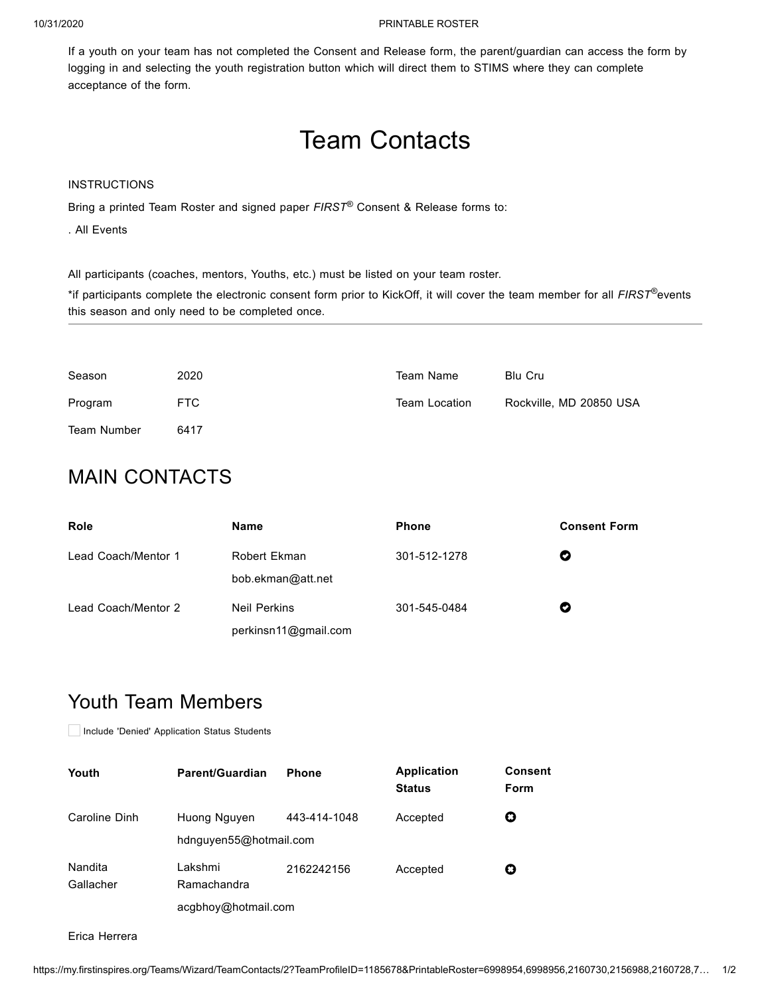#### 10/31/2020 PRINTABLE ROSTER

If a youth on your team has not completed the Consent and Release form, the parent/guardian can access the form by logging in and selecting the youth registration button which will direct them to STIMS where they can complete acceptance of the form.

# Team Contacts

#### INSTRUCTIONS

Bring a printed Team Roster and signed paper *FIRST*<sup>®</sup> Consent & Release forms to:

. All Events

All participants (coaches, mentors, Youths, etc.) must be listed on your team roster.

\*if participants complete the electronic consent form prior to KickOff, it will cover the team member for all *FIRST*®events this season and only need to be completed once.

| Season      | 2020 | Team Name     | <b>Blu Cru</b>          |
|-------------|------|---------------|-------------------------|
| Program     | FTC. | Team Location | Rockville, MD 20850 USA |
| Team Number | 6417 |               |                         |

## MAIN CONTACTS

| <b>Role</b>         | Name                                        | <b>Phone</b> | <b>Consent Form</b> |
|---------------------|---------------------------------------------|--------------|---------------------|
| Lead Coach/Mentor 1 | Robert Ekman<br>bob.ekman@att.net           | 301-512-1278 | Ø                   |
| Lead Coach/Mentor 2 | <b>Neil Perkins</b><br>perkinsn11@gmail.com | 301-545-0484 | Ø                   |

### Youth Team Members

Include 'Denied' Application Status Students

| Youth                | Parent/Guardian                                | <b>Phone</b> | <b>Application</b><br><b>Status</b> | <b>Consent</b><br>Form |
|----------------------|------------------------------------------------|--------------|-------------------------------------|------------------------|
| Caroline Dinh        | Huong Nguyen<br>hdnguyen55@hotmail.com         | 443-414-1048 | Accepted                            | O                      |
| Nandita<br>Gallacher | I akshmi<br>Ramachandra<br>acgbhoy@hotmail.com | 2162242156   | Accepted                            | O                      |

Erica Herrera